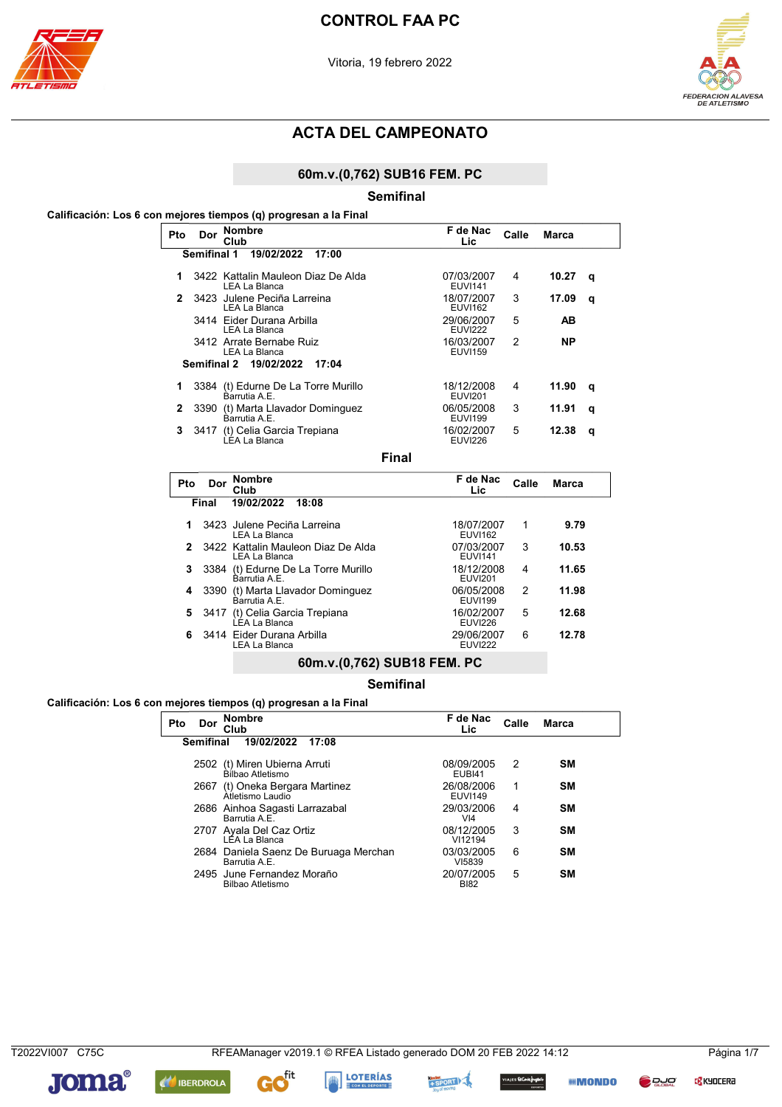



### 60m.v.(0,762) SUB16 FEM. PC

#### **Semifinal**

### Calificación: Los 6 con mejores tiempos (q) progresan a la Final

| Pto          | <b>Nombre</b><br>Dor<br>Club                        | F de Nac<br>Lic.             | Calle | <b>Marca</b> |   |
|--------------|-----------------------------------------------------|------------------------------|-------|--------------|---|
|              | <b>Semifinal 1</b><br>19/02/2022<br>17:00           |                              |       |              |   |
| 1            | 3422 Kattalin Mauleon Diaz De Alda<br>LEA La Blanca | 07/03/2007<br><b>EUVI141</b> | 4     | 10.27        | q |
| 2            | 3423 Julene Peciña Larreina<br>LEA La Blanca        | 18/07/2007<br><b>EUVI162</b> | 3     | 17.09        | q |
|              | 3414 Eider Durana Arbilla<br>LEA La Blanca          | 29/06/2007<br><b>EUVI222</b> | 5     | AB           |   |
|              | 3412 Arrate Bernabe Ruiz<br>LEA La Blanca           | 16/03/2007<br><b>EUVI159</b> | 2     | NP.          |   |
|              | Semifinal 2 19/02/2022<br>17:04                     |                              |       |              |   |
| 1            | 3384 (t) Edurne De La Torre Murillo<br>Barrutia A F | 18/12/2008<br><b>EUVI201</b> | 4     | 11.90        | q |
| $\mathbf{2}$ | 3390 (t) Marta Llavador Dominguez<br>Barrutia A.E.  | 06/05/2008<br><b>EUVI199</b> | 3     | 11.91        | q |
| 3.           | (t) Celia Garcia Trepiana<br>3417<br>LEA La Blanca  | 16/02/2007<br><b>EUVI226</b> | 5     | 12.38        | q |

**Final** 

| Pto          | Dor   | <b>Nombre</b><br>Club                               | F de Nac<br>Lic              | Calle          | <b>Marca</b> |
|--------------|-------|-----------------------------------------------------|------------------------------|----------------|--------------|
|              | Final | 19/02/2022<br>18:08                                 |                              |                |              |
| 1            |       | 3423 Julene Peciña Larreina<br>LEA La Blanca        | 18/07/2007<br><b>EUVI162</b> | 1              | 9.79         |
| $\mathbf{2}$ |       | 3422 Kattalin Mauleon Diaz De Alda<br>LEA La Blanca | 07/03/2007<br><b>EUVI141</b> | 3              | 10.53        |
| 3            |       | 3384 (t) Edurne De La Torre Murillo<br>Barrutia A F | 18/12/2008<br><b>EUVI201</b> | 4              | 11.65        |
| 4            |       | 3390 (t) Marta Llavador Dominguez<br>Barrutia A F   | 06/05/2008<br><b>EUVI199</b> | $\mathfrak{p}$ | 11.98        |
| 5            |       | 3417 (t) Celia Garcia Trepiana<br>LEA La Blanca     | 16/02/2007<br><b>EUVI226</b> | 5              | 12.68        |
| 6.           |       | 3414 Eider Durana Arbilla<br>LEA La Blanca          | 29/06/2007<br><b>EUVI222</b> | 6              | 12.78        |
|              |       | 60m.v.(0,762) SUB18 FEM. PC                         |                              |                |              |

**Semifinal** 

### Calificación: Los 6 con mejores tiempos (q) progresan a la Final

| Pto | Dor              | <b>Nombre</b><br>Club                                  | F de Nac<br>Lic               | Calle | <b>Marca</b> |
|-----|------------------|--------------------------------------------------------|-------------------------------|-------|--------------|
|     | <b>Semifinal</b> | 19/02/2022<br>17:08                                    |                               |       |              |
|     | 2502             | (t) Miren Ubierna Arruti<br>Bílbao Atletismo           | 08/09/2005<br>EUBI41          | 2     | SM           |
|     | 2667             | (t) Oneka Bergara Martinez<br>Atletismo Laudio         | 26/08/2006<br><b>EUVI149</b>  | 1     | <b>SM</b>    |
|     |                  | 2686 Ainhoa Sagasti Larrazabal<br>Barrutia A.E.        | 29/03/2006<br>V <sub>14</sub> | 4     | <b>SM</b>    |
|     |                  | 2707 Ayala Del Caz Ortiz<br>LÉA La Blanca              | 08/12/2005<br>VI12194         | 3     | <b>SM</b>    |
|     |                  | 2684 Daniela Saenz De Buruaga Merchan<br>Barrutia A.E. | 03/03/2005<br>VI5839          | 6     | <b>SM</b>    |
|     |                  | 2495 June Fernandez Moraño<br>Bilbao Atletismo         | 20/07/2005<br><b>BI82</b>     | 5     | <b>SM</b>    |

T2022VI007 C75C

**C<mark>S</mark> KYOCER**a





**AN** IBERDROLA





s EsConiefrigados<br>.

*IIII* **MONDO** 

**DUC**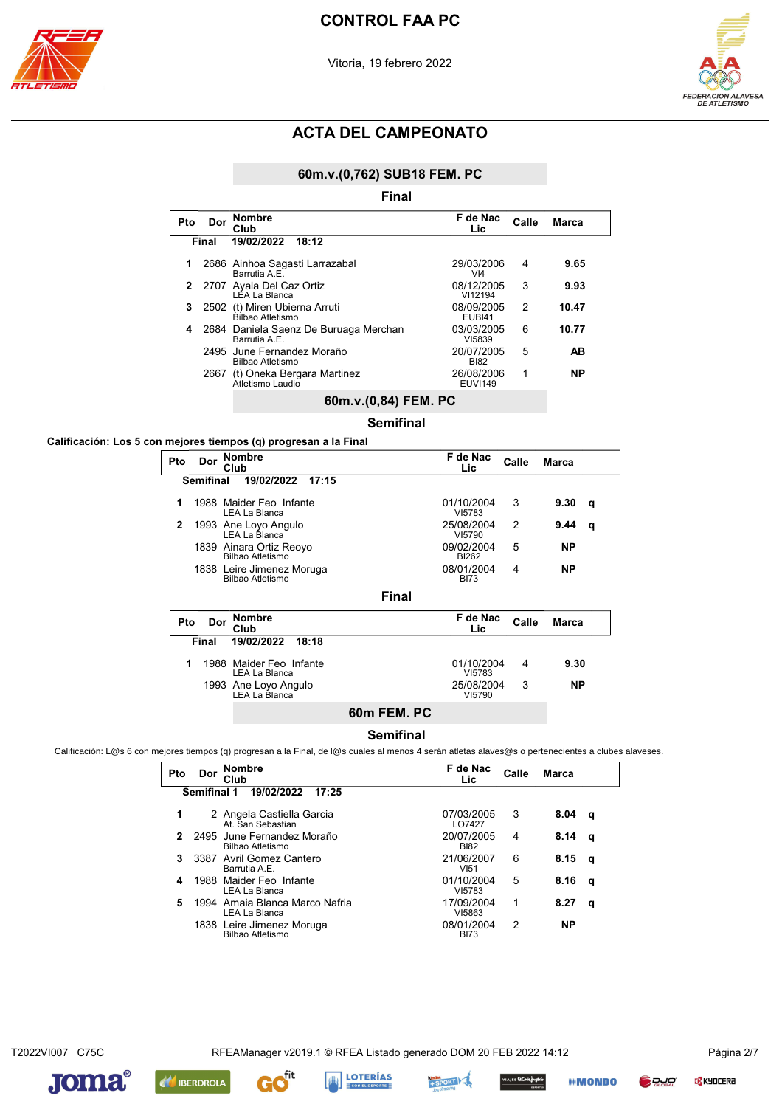





### 60m.v.(0,762) SUB18 FEM. PC

|     |       | Final<br><b>Nombre</b>                                 | F de Nac                      |       |           |
|-----|-------|--------------------------------------------------------|-------------------------------|-------|-----------|
| Pto | Dor   | Club                                                   | Lic.                          | Calle | Marca     |
|     | Final | 19/02/2022<br>18:12                                    |                               |       |           |
| 1   |       | 2686 Ainhoa Sagasti Larrazabal<br>Barrutia A.E.        | 29/03/2006<br>V <sub>14</sub> | 4     | 9.65      |
| 2   |       | 2707 Ayala Del Caz Ortiz<br>LÊA La Blanca              | 08/12/2005<br>VI12194         | 3     | 9.93      |
| 3   | 2502  | (t) Miren Ubierna Arruti<br>Bilbao Atletismo           | 08/09/2005<br><b>EUBI41</b>   | 2     | 10.47     |
| 4   |       | 2684 Daniela Saenz De Buruaga Merchan<br>Barrutia A.E. | 03/03/2005<br>VI5839          | 6     | 10.77     |
|     |       | 2495 June Fernandez Moraño<br>Bilbao Atletismo         | 20/07/2005<br><b>BI82</b>     | 5     | AB        |
|     | 2667  | (t) Oneka Bergara Martinez<br>Atletismo Laudio         | 26/08/2006<br><b>EUVI149</b>  | 1     | <b>NP</b> |
|     |       | 60m.v.(0,84) FEM. PC                                   |                               |       |           |
|     |       | <b>Semifinal</b>                                       |                               |       |           |

#### Calificación: Los 5 con mejores tiempos (q) progresan a la Final

| Pto | Dor              | <b>Nombre</b><br>Club                           |       | F de Nac<br>Lic.           | Calle | Marca        |   |
|-----|------------------|-------------------------------------------------|-------|----------------------------|-------|--------------|---|
|     | <b>Semifinal</b> | 19/02/2022<br>17:15                             |       |                            |       |              |   |
| 1   |                  | 1988 Maider Feo Infante<br><b>LEA La Blanca</b> |       | 01/10/2004<br>VI5783       | 3     | 9.30         | a |
| 2   |                  | 1993 Ane Loyo Angulo<br>LEA La Blanca           |       | 25/08/2004<br>VI5790       | 2     | 9.44         | q |
|     |                  | 1839 Ainara Ortiz Reoyo<br>Bilbao Atletismo     |       | 09/02/2004<br><b>BI262</b> | 5     | <b>NP</b>    |   |
|     |                  | 1838 Leire Jimenez Moruga<br>Bilbao Atletismo   |       | 08/01/2004<br><b>BI73</b>  | 4     | ΝP           |   |
|     |                  |                                                 | Final |                            |       |              |   |
| Pto | Dor              | <b>Nombre</b><br>Club                           |       | F de Nac<br>Lic            | Calle | <b>Marca</b> |   |
|     | Final            | 19/02/2022<br>18:18                             |       |                            |       |              |   |
| 1   |                  | 1988 Maider Feo Infante<br>LEA La Blanca        |       | 01/10/2004<br>VI5783       | 4     | 9.30         |   |
|     |                  | 1993 Ane Loyo Angulo<br>LEA La Blanca           |       | 25/08/2004<br>VI5790       | 3     | <b>NP</b>    |   |
|     |                  |                                                 |       |                            |       |              |   |

# 60m FEM. PC

#### **Semifinal**

Calificación: L@s 6 con mejores tiempos (q) progresan a la Final, de l@s cuales al menos 4 serán atletas alaves@s o pertenecientes a clubes alaveses.

| Pto | Dor         | <b>Nombre</b><br>Club                           | F de Nac<br>Lic                | Calle         | Marca     |   |
|-----|-------------|-------------------------------------------------|--------------------------------|---------------|-----------|---|
|     | Semifinal 1 | 19/02/2022<br>17:25                             |                                |               |           |   |
| 1   |             | 2 Angela Castiella Garcia<br>At. San Sebastian  | 07/03/2005<br>LO7427           | 3             | 8.04      | q |
|     |             | 2495 June Fernandez Moraño<br>Bilbao Atletismo  | 20/07/2005<br><b>BI82</b>      | 4             | 8.14      | a |
| 3   |             | 3387 Avril Gomez Cantero<br>Barrutia A.E.       | 21/06/2007<br>VI <sub>51</sub> | 6             | 8.15      | q |
| 4   |             | 1988 Maider Feo Infante<br>LEA La Blanca        | 01/10/2004<br>VI5783           | 5             | 8.16      | a |
| 5   |             | 1994 Amaia Blanca Marco Nafria<br>LEA La Blanca | 17/09/2004<br>VI5863           | 1             | 8.27      | a |
|     |             | 1838 Leire Jimenez Moruga<br>Bilbao Atletismo   | 08/01/2004<br><b>BI73</b>      | $\mathcal{P}$ | <b>NP</b> |   |



**Joma**®

+SPORT

s ElCorle<mark>f</mark>rigasis<br>...

*IIII* **MONDO** 

**DRUC** 

**LOTERÍAS** 

 $f<sup>it</sup>$ 

G

**AN IBERDROLA** 

**C<mark>S</mark> KYOCER**a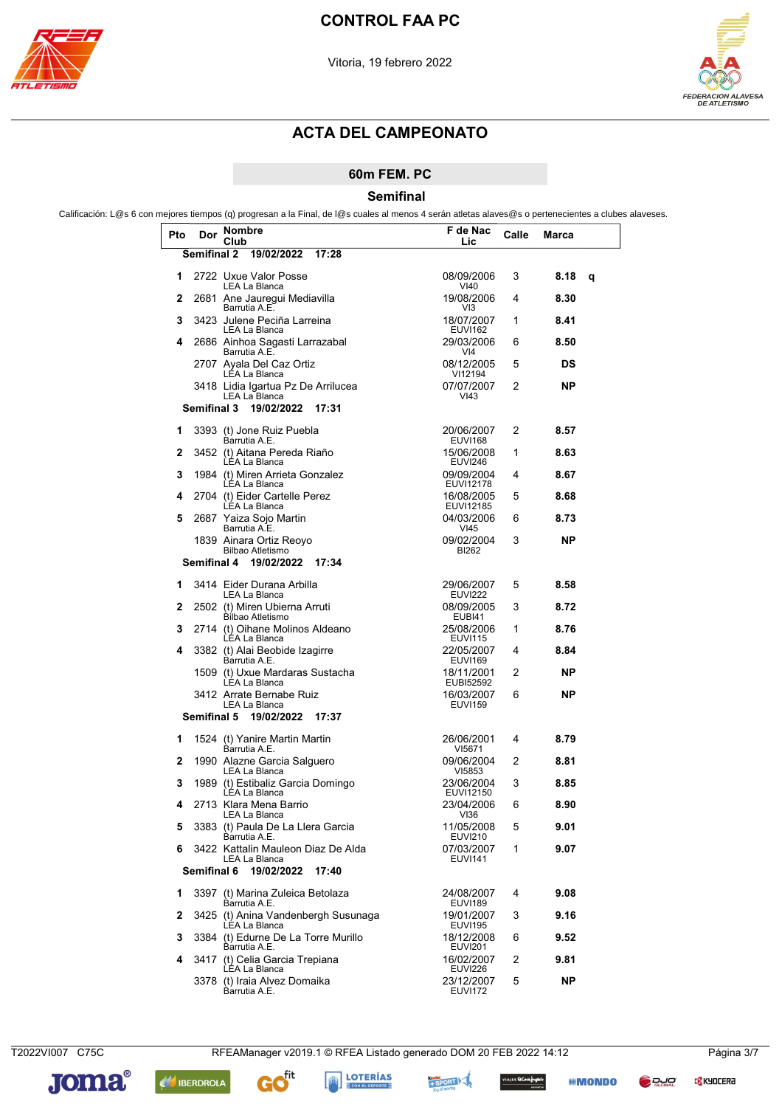



### 60m FEM. PC

Semifinal

Calificación: L@s 6 con mejores tiempos (q) progresan a la Final, de l@s cuales al menos 4 serán atletas alaves@s o pertenecientes a clubes alaveses.

| Pto | Dor                | Nombre<br>Club                                       | F de Nac<br>Lic              | Calle | Marca |   |
|-----|--------------------|------------------------------------------------------|------------------------------|-------|-------|---|
|     | <b>Semifinal 2</b> | 19/02/2022<br>17:28                                  |                              |       |       |   |
| 1   |                    | 2722 Uxue Valor Posse<br><b>LEA La Blanca</b>        | 08/09/2006<br>VI40           | 3     | 8.18  | q |
| 2   |                    | 2681 Ane Jauregui Mediavilla<br>Barrutia A.E.        | 19/08/2006<br>VI3            | 4     | 8.30  |   |
| 3   |                    | 3423 Julene Peciña Larreina<br>LEA La Blanca         | 18/07/2007<br><b>EUVI162</b> | 1     | 8.41  |   |
| 4   |                    | 2686 Ainhoa Sagasti Larrazabal<br>Barrutia A.E.      | 29/03/2006<br>VI4            | 6     | 8.50  |   |
|     |                    | 2707 Ayala Del Caz Ortiz<br>LEA La Blanca            | 08/12/2005<br>VI12194        | 5     | DS    |   |
|     |                    | 3418 Lidia Igartua Pz De Arrilucea<br>LEA La Blanca  | 07/07/2007<br>VI43           | 2     | ΝP    |   |
|     | Semifinal 3        | 19/02/2022<br>17:31                                  |                              |       |       |   |
| 1   |                    | 3393 (t) Jone Ruiz Puebla<br>Barrutia A.E.           | 20/06/2007<br><b>EUVI168</b> | 2     | 8.57  |   |
| 2   |                    | 3452 (t) Aitana Pereda Riaño<br>LEA La Blanca        | 15/06/2008<br><b>EUVI246</b> | 1     | 8.63  |   |
| 3   |                    | 1984 (t) Miren Arrieta Gonzalez<br>LEA La Blanca     | 09/09/2004<br>EUVI12178      | 4     | 8.67  |   |
| 4   |                    | 2704 (t) Eider Cartelle Perez<br>LÉA La Blanca       | 16/08/2005<br>EUVI12185      | 5     | 8.68  |   |
| 5   |                    | 2687 Yaiza Sojo Martin<br>Barrutia A.E.              | 04/03/2006<br>VI45           | 6     | 8.73  |   |
|     |                    | 1839 Ainara Ortiz Reovo<br><b>Bilbao Atletismo</b>   | 09/02/2004<br>BI262          | 3     | ΝP    |   |
|     | Semifinal 4        | 19/02/2022<br>17:34                                  |                              |       |       |   |
| 1   |                    | 3414 Eider Durana Arbilla<br>LEA La Blanca           | 29/06/2007<br><b>EUVI222</b> | 5     | 8.58  |   |
| 2   |                    | 2502 (t) Miren Ubierna Arruti<br>Bílbao Atletismo    | 08/09/2005<br>EUBI41         | 3     | 8.72  |   |
| 3   |                    | 2714 (t) Oihane Molinos Aldeano<br>LEA La Blanca     | 25/08/2006<br><b>EUVI115</b> | 1     | 8.76  |   |
| 4   |                    | 3382 (t) Alai Beobide Izagirre<br>Barrutia A.E.      | 22/05/2007<br><b>EUVI169</b> | 4     | 8.84  |   |
|     |                    | 1509 (t) Uxue Mardaras Sustacha<br>LÉA La Blanca     | 18/11/2001<br>EUBI52592      | 2     | ΝP    |   |
|     |                    | 3412 Arrate Bernabe Ruiz<br>LEA La Blanca            | 16/03/2007<br><b>EUVI159</b> | 6     | ΝP    |   |
|     | Semifinal 5        | 19/02/2022<br>17:37                                  |                              |       |       |   |
| 1   |                    | 1524 (t) Yanire Martin Martin<br>Barrutia A.E.       | 26/06/2001<br>VI5671         | 4     | 8.79  |   |
| 2   |                    | 1990 Alazne Garcia Salguero<br>LEA La Blanca         | 09/06/2004<br>VI5853         | 2     | 8.81  |   |
| 3   |                    | 1989 (t) Estibaliz Garcia Domingo<br>LEA La Blanca   | 23/06/2004<br>EUVI12150      | 3     | 8.85  |   |
| 4   |                    | 2713 Klara Mena Barrio<br>LEA La Blanca              | 23/04/2006<br>VI36           | 6     | 8.90  |   |
| 5   |                    | 3383 (t) Paula De La Llera Garcia<br>Barrutia A.E.   | 11/05/2008<br><b>EUVI210</b> | 5     | 9.01  |   |
| 6   |                    | 3422 Kattalin Mauleon Diaz De Alda<br>LEA La Blanca  | 07/03/2007<br><b>EUVI141</b> | 1     | 9.07  |   |
|     | Semifinal 6        | 19/02/2022<br>17:40                                  |                              |       |       |   |
| 1   |                    | 3397 (t) Marina Zuleica Betolaza<br>Barrutia A.E.    | 24/08/2007<br><b>EUVI189</b> | 4     | 9.08  |   |
| 2   |                    | 3425 (t) Anina Vandenbergh Susunaga<br>LÉA La Blanca | 19/01/2007<br><b>EUVI195</b> | 3     | 9.16  |   |
| 3   |                    | 3384 (t) Edurne De La Torre Murillo<br>Barrutia A.E. | 18/12/2008<br><b>EUVI201</b> | 6     | 9.52  |   |
| 4   |                    | 3417 (t) Celia Garcia Trepiana<br>LÉA La Blanca      | 16/02/2007<br><b>EUVI226</b> | 2     | 9.81  |   |
|     |                    | 3378 (t) Iraia Alvez Domaika<br>Barrutia A.E.        | 23/12/2007<br><b>EUVI172</b> | 5     | ΝP    |   |



**C<mark>S</mark> KYOCER**a









*IIII* MONDO

**O** Page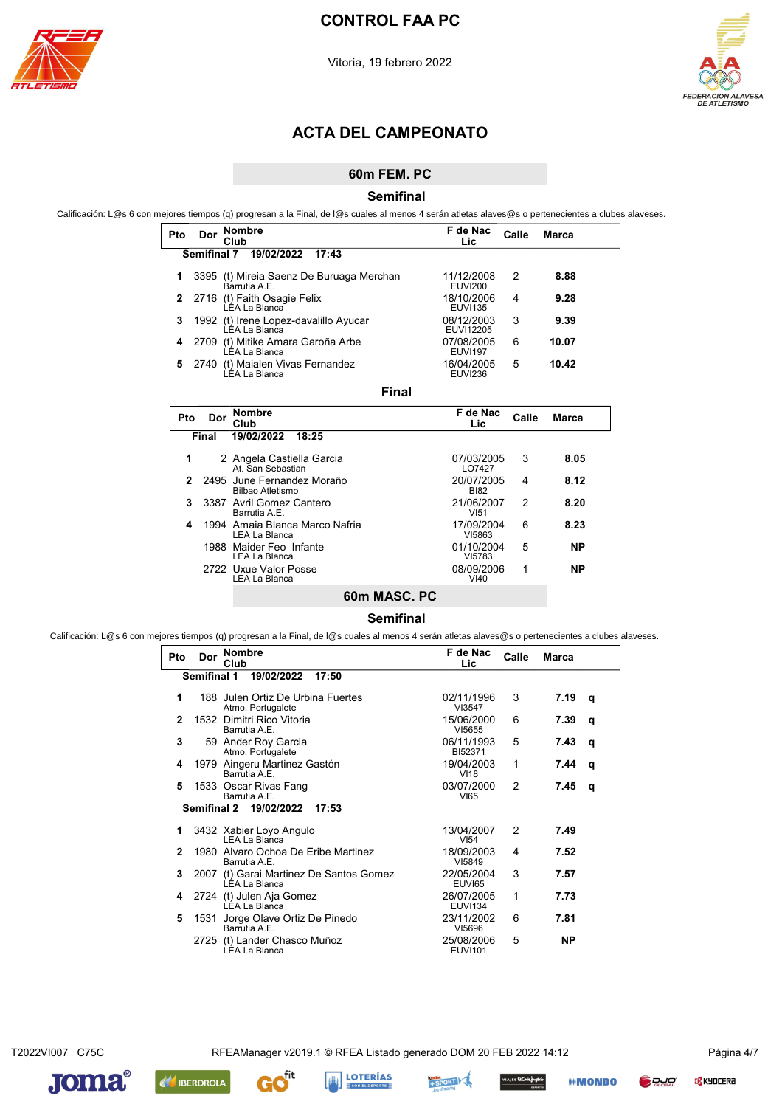



### 60m FEM. PC

**Semifinal** 

Calificación: L@s 6 con mejores tiempos (q) progresan a la Final, de l@s cuales al menos 4 serán atletas alaves@s o pertenecientes a clubes alaveses.

| Pto | Dor         | <b>Nombre</b><br>Club                                    | F de Nac<br>Lic              | Calle | Marca |
|-----|-------------|----------------------------------------------------------|------------------------------|-------|-------|
|     | Semifinal 7 | 19/02/2022<br>17:43                                      |                              |       |       |
| 1   |             | 3395 (t) Mireia Saenz De Buruaga Merchan<br>Barrutia A F | 11/12/2008<br><b>EUVI200</b> | 2     | 8.88  |
| 2   |             | 2716 (t) Faith Osagie Felix<br>I FA La Blanca            | 18/10/2006<br><b>EUVI135</b> | 4     | 9.28  |
| 3   |             | 1992 (t) Irene Lopez-davalillo Ayucar<br>LEA La Blanca   | 08/12/2003<br>EUVI12205      | 3     | 9.39  |
| 4   | 2709        | (t) Mitike Amara Garoña Arbe<br>LEA La Blanca            | 07/08/2005<br><b>EUVI197</b> | 6     | 10.07 |
| 5   | 2740        | (t) Maialen Vivas Fernandez<br>LÉA La Blanca             | 16/04/2005<br><b>EUVI236</b> | 5     | 10.42 |
|     |             | Final                                                    |                              |       |       |
| Pto | Dor         | <b>Nombre</b><br>Club                                    | F de Nac<br>Lic.             | Calle | Marca |
|     | Final       | 19/02/2022<br>18:25                                      |                              |       |       |
| 1   |             | 2 Angela Castiella Garcia<br>At. San Sebastian           | 07/03/2005<br>LO7427         | 3     | 8.05  |
|     |             | 2495 June Fernandez Moraño                               | 20/07/2005                   | 4     | 8.12  |

|  | 2 2495 June Fernandez Moraño<br>Bilbao Atletismo | 20/07/2005<br><b>BI82</b> | 4 | 8.12 |
|--|--------------------------------------------------|---------------------------|---|------|
|  | 3 3387 Avril Gomez Cantero<br>Barrutia A.E.      | 21/06/2007<br>VI51        | 2 | 8.20 |
|  | 1994 Amaia Blanca Marco Nafria<br>LEA La Blanca  | 17/09/2004<br>VI5863      | 6 | 8.23 |
|  | 1988 Maider Feo Infante<br>LEA La Blanca         | 01/10/2004<br>VI5783      | 5 | ΝP   |
|  | 2722 Uxue Valor Posse<br>LEA La Blanca           | 08/09/2006<br>VI40        |   | ΝP   |
|  |                                                  |                           |   |      |

## 60m MASC. PC

#### **Semifinal**

Calificación: L@s 6 con mejores tiempos (q) progresan a la Final, de l@s cuales al menos 4 serán atletas alaves@s o pertenecientes a clubes alaveses.

| Pto | Dor         | <b>Nombre</b><br>Club                                           | F de Nac<br>Lic              | Calle         | <b>Marca</b> |   |
|-----|-------------|-----------------------------------------------------------------|------------------------------|---------------|--------------|---|
|     | Semifinal 1 | 19/02/2022<br>17:50                                             |                              |               |              |   |
| 1   |             | 188 Julen Ortiz De Urbina Fuertes<br>Atmo. Portugalete          | 02/11/1996<br>VI3547         | 3             | 7.19         | q |
| 2   |             | 1532 Dimitri Rico Vitoria<br>Barrutia A.E.                      | 15/06/2000<br>VI5655         | 6             | 7.39         | q |
| 3   |             | 59 Ander Roy Garcia<br>Atmo. Portugalete                        | 06/11/1993<br>BI52371        | 5             | 7.43         | q |
| 4   |             | 1979 Aingeru Martinez Gastón<br>Barrutia A.E.                   | 19/04/2003<br>VI18           | 1             | 7.44         | q |
| 5   |             | 1533 Oscar Rivas Fang<br>Barrutia A.E.                          | 03/07/2000<br>VI65           | $\mathcal{P}$ | 7.45         | q |
|     |             | Semifinal 2 19/02/2022<br>17:53                                 |                              |               |              |   |
| 1.  |             | 3432 Xabier Loyo Angulo<br>LEA La Blanca                        | 13/04/2007<br>VI54           | 2             | 7.49         |   |
| 2   |             | 1980 Alvaro Ochoa De Eribe Martinez<br>Barrutia A.E.            | 18/09/2003<br>VI5849         | 4             | 7.52         |   |
| 3   |             | 2007 (t) Garai Martinez De Santos Gomez<br><b>LEA La Blanca</b> | 22/05/2004<br><b>EUVI65</b>  | 3             | 7.57         |   |
| 4   |             | 2724 (t) Julen Aja Gomez<br>LEA La Blanca                       | 26/07/2005<br><b>EUVI134</b> | 1             | 7.73         |   |
| 5   |             | 1531 Jorge Olave Ortiz De Pinedo<br>Barrutia A.E.               | 23/11/2002<br>VI5696         | 6             | 7.81         |   |
|     | 2725        | (t) Lander Chasco Muñoz<br>LEA La Blanca                        | 25/08/2006<br><b>EUVI101</b> | 5             | ΝP           |   |

**Joma**®

+ SPORT

es EtContefrigacio

*IIII* **MONDO** 

**DRUC** 

**LOTERÍAS** 

 $\mathbf{f}^{\text{fit}}$ 

G

**AN** IBERDROLA

**C<mark>S</mark> KYOCER**a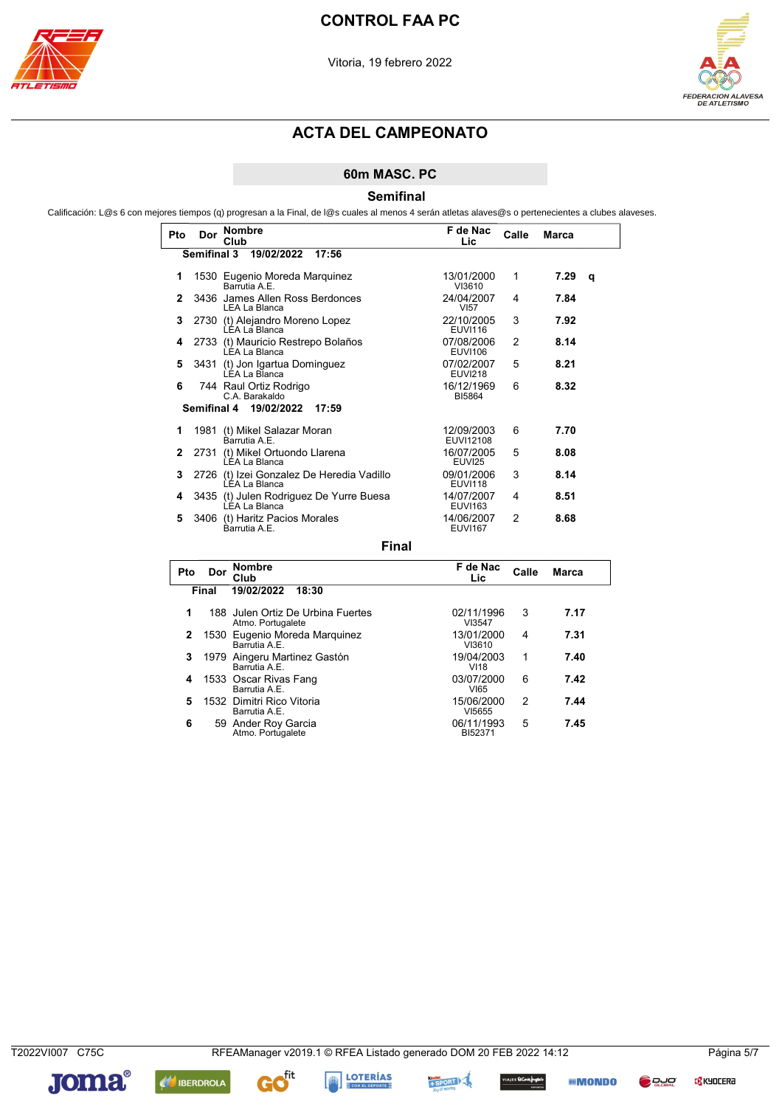



### 60m MASC. PC

**Semifinal** 

Calificación: L@s 6 con mejores tiempos (q) progresan a la Final, de l@s cuales al menos 4 serán atletas alaves@s o pertenecientes a clubes alaveses.

| Pto          | Dor                | <b>Nombre</b><br>Club                                      | F de Nac<br>Lic              | Calle | <b>Marca</b> |   |
|--------------|--------------------|------------------------------------------------------------|------------------------------|-------|--------------|---|
|              | <b>Semifinal 3</b> | 19/02/2022<br>17:56                                        |                              |       |              |   |
| 1            |                    | 1530 Eugenio Moreda Marquinez<br>Barrutia A.E.             | 13/01/2000<br>VI3610         | 1     | 7.29         | q |
| $\mathbf{2}$ |                    | 3436 James Allen Ross Berdonces<br><b>LEA La Blanca</b>    | 24/04/2007<br><b>VI57</b>    | 4     | 7.84         |   |
| 3            |                    | 2730 (t) Alejandro Moreno Lopez<br>LEA La Blanca           | 22/10/2005<br><b>EUVI116</b> | 3     | 7.92         |   |
| 4            |                    | 2733 (t) Mauricio Restrepo Bolaños<br>LÉA La Blanca        | 07/08/2006<br><b>EUVI106</b> | 2     | 8.14         |   |
| 5            |                    | 3431 (t) Jon Igartua Dominguez<br>LÉA La Blanca            | 07/02/2007<br><b>EUVI218</b> | 5     | 8.21         |   |
| 6            |                    | 744 Raul Ortiz Rodrigo<br>C.A. Barakaldo                   | 16/12/1969<br>BI5864         | 6     | 8.32         |   |
|              |                    | Semifinal 4 19/02/2022<br>17:59                            |                              |       |              |   |
| 1            |                    | 1981 (t) Mikel Salazar Moran<br>Barrutia A F               | 12/09/2003<br>EUVI12108      | 6     | 7.70         |   |
| $\mathbf{2}$ | 2731               | (t) Mikel Ortuondo Llarena<br>LEA La Blanca                | 16/07/2005<br>EUVI25         | 5     | 8.08         |   |
| 3            |                    | 2726 (t) Izei Gonzalez De Heredia Vadillo<br>LEA La Blanca | 09/01/2006<br><b>EUVI118</b> | 3     | 8.14         |   |
| 4            |                    | 3435 (t) Julen Rodriguez De Yurre Buesa<br>LÉA La Blanca   | 14/07/2007<br><b>EUVI163</b> | 4     | 8.51         |   |
| 5            |                    | 3406 (t) Haritz Pacios Morales<br>Barrutia A F             | 14/06/2007<br><b>FUVI167</b> | 2     | 8.68         |   |

**Final** 

| Pto | Dor   | <b>Nombre</b><br>Club                                  | F de Nac<br>Lic       | Calle | <b>Marca</b> |
|-----|-------|--------------------------------------------------------|-----------------------|-------|--------------|
|     | Final | 19/02/2022<br>18:30                                    |                       |       |              |
| 1   |       | 188 Julen Ortiz De Urbina Fuertes<br>Atmo. Portugalete | 02/11/1996<br>VI3547  | 3     | 7.17         |
| 2   |       | 1530 Eugenio Moreda Marquinez<br>Barrutia A F          | 13/01/2000<br>VI3610  | 4     | 7.31         |
| 3   |       | 1979 Aingeru Martinez Gastón<br>Barrutia A.E.          | 19/04/2003<br>VI18    | 1     | 7.40         |
| 4   |       | 1533 Oscar Rivas Fang<br>Barrutia A.E.                 | 03/07/2000<br>VI65    | 6     | 7.42         |
| 5   |       | 1532 Dimitri Rico Vitoria<br>Barrutia A.E.             | 15/06/2000<br>VI5655  | 2     | 7.44         |
| 6   |       | 59 Ander Roy Garcia<br>Atmo. Portugalete               | 06/11/1993<br>BI52371 | 5     | 7.45         |

T2022VI007 C75C

**C<mark>S</mark> KYOCER**a





G





**IIII MONDO** 

**D** DJO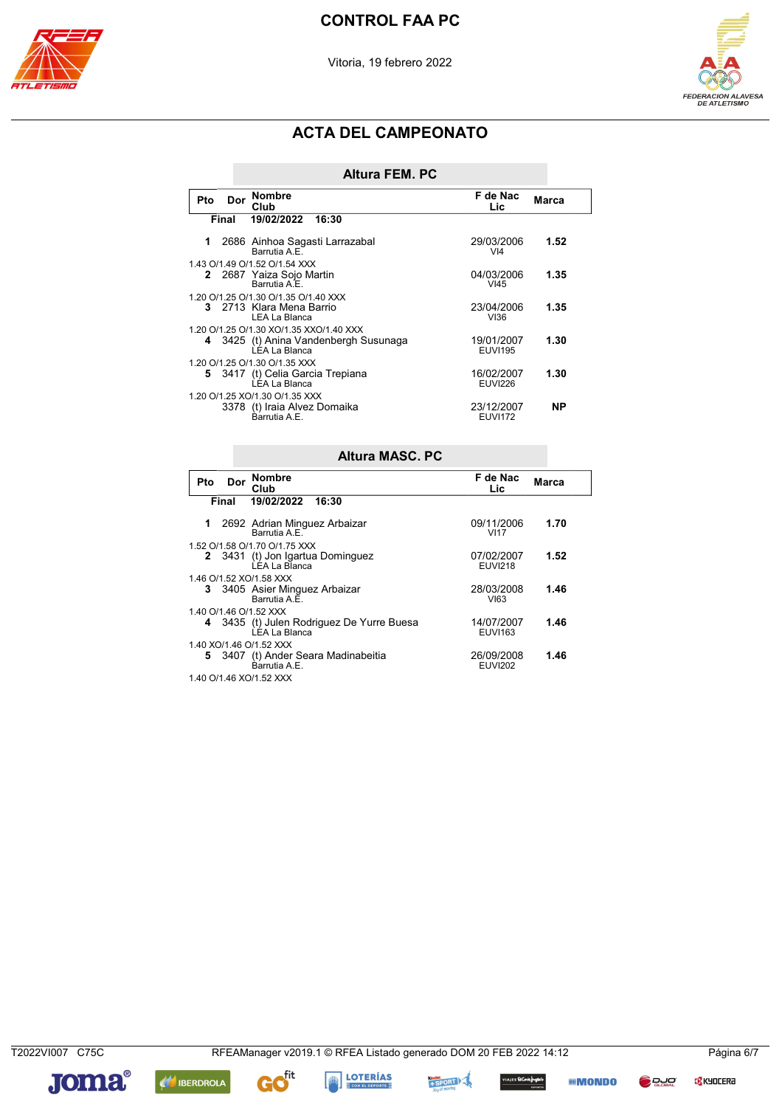

Vitoria, 19 febrero 2022



# **ACTA DEL CAMPEONATO**

| Altura FEM. PC |  |
|----------------|--|

| Pto | Dor   | <b>Nombre</b><br>Club                                  | F de Nac<br>Lic               | Marca     |
|-----|-------|--------------------------------------------------------|-------------------------------|-----------|
|     | Final | 19/02/2022<br>16:30                                    |                               |           |
| 1   |       | 2686 Ainhoa Sagasti Larrazabal<br>Barrutia A.E.        | 29/03/2006<br>V <sub>14</sub> | 1.52      |
|     |       | 1.43 O/1.49 O/1.52 O/1.54 XXX                          |                               |           |
|     |       | 2 2687 Yaiza Sojo Martin<br>Barrutia A.E.              | 04/03/2006<br>V145            | 1.35      |
|     |       | 1.20 O/1.25 O/1.30 O/1.35 O/1.40 XXX                   |                               |           |
|     |       | 3 2713 Klara Mena Barrio<br>I FA La Blanca             | 23/04/2006<br>VI36            | 1.35      |
|     |       | 1.20 O/1.25 O/1.30 XO/1.35 XXO/1.40 XXX                |                               |           |
|     |       | 4 3425 (t) Anina Vandenbergh Susunaga<br>ÈÉA La Blanca | 19/01/2007<br><b>EUVI195</b>  | 1.30      |
|     |       | 1.20 O/1.25 O/1.30 O/1.35 XXX                          |                               |           |
|     |       | 5 3417 (t) Celia Garcia Trepiana<br>LÉA La Blanca      | 16/02/2007<br><b>EUVI226</b>  | 1.30      |
|     |       | 1.20 O/1.25 XO/1.30 O/1.35 XXX                         |                               |           |
|     |       | 3378 (t) Iraia Alvez Domaika<br>Barrutia A.E.          | 23/12/2007<br><b>EUVI172</b>  | <b>NP</b> |

|                         | <b>Altura MASC, PC</b>  |                                                            |                              |       |  |  |  |
|-------------------------|-------------------------|------------------------------------------------------------|------------------------------|-------|--|--|--|
| <b>Pto</b>              | Dor                     | <b>Nombre</b><br>Club                                      | F de Nac<br>Lic              | Marca |  |  |  |
|                         | Final                   | 19/02/2022<br>16:30                                        |                              |       |  |  |  |
| 1                       |                         | 2692 Adrian Minguez Arbaizar<br>Barrutia A F               | 09/11/2006<br><b>VI17</b>    | 1.70  |  |  |  |
|                         |                         | 1.52 O/1.58 O/1.70 O/1.75 XXX                              |                              |       |  |  |  |
|                         |                         | 2 3431 (t) Jon Igartua Dominguez<br>LEA La Blanca          | 07/02/2007<br><b>EUVI218</b> | 1.52  |  |  |  |
|                         |                         | 1.46 O/1.52 XO/1.58 XXX                                    |                              |       |  |  |  |
|                         |                         | 3 3405 Asier Minguez Arbaizar<br>Barrutia A F              | 28/03/2008<br>VI63           | 1.46  |  |  |  |
| 1.40 O/1.46 O/1.52 XXX  |                         |                                                            |                              |       |  |  |  |
|                         |                         | 4 3435 (t) Julen Rodriguez De Yurre Buesa<br>LÉA La Blanca | 14/07/2007<br><b>EUVI163</b> | 1.46  |  |  |  |
| 1.40 XO/1.46 O/1.52 XXX |                         |                                                            |                              |       |  |  |  |
|                         |                         | 5 3407 (t) Ander Seara Madinabeitia<br>Barrutia A F        | 26/09/2008<br><b>EUVI202</b> | 1.46  |  |  |  |
|                         | 1.40 O/1.46 XO/1.52 XXX |                                                            |                              |       |  |  |  |

T2022VI007 C75C

**C** KYOCERA









**IIII MONDO**